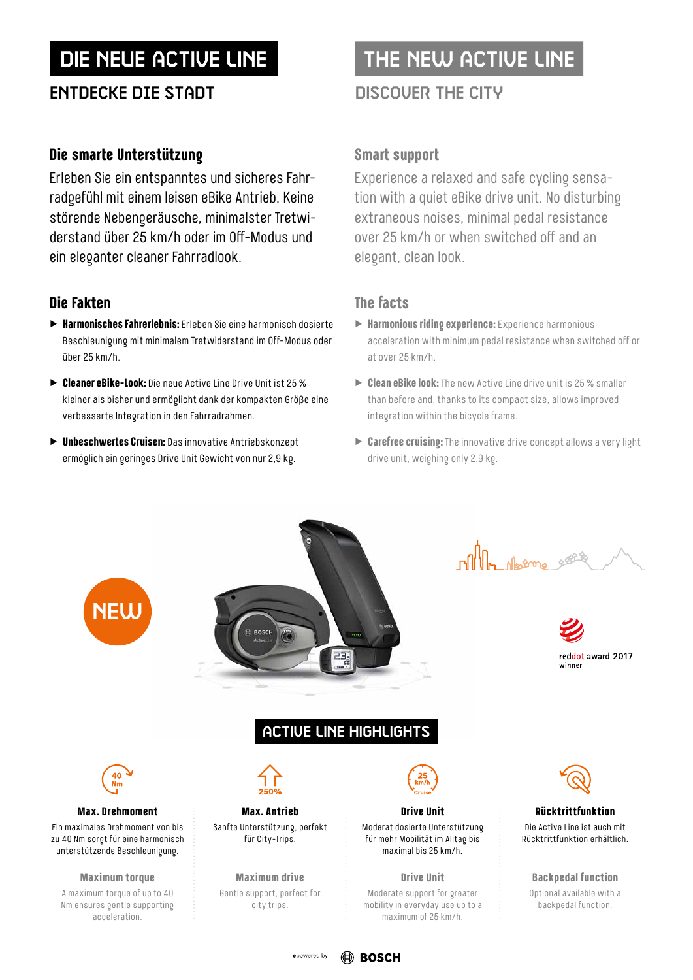## Entdecke die StAdt DISCOVER THE CITY

## **Die smarte Unterstützung**

Erleben Sie ein entspanntes und sicheres Fahrradgefühl mit einem leisen eBike Antrieb. Keine störende Nebengeräusche, minimalster Tretwiderstand über 25 km/h oder im Off-Modus und ein eleganter cleaner Fahrradlook.

## **Die Fakten**

- ▶ **Harmonisches Fahrerlebnis:** Erleben Sie eine harmonisch dosierte Beschleunigung mit minimalem Tretwiderstand im Off-Modus oder über 25 km/h.
- ▶ **Cleaner eBike-Look:** Die neue Active Line Drive Unit ist 25 % kleiner als bisher und ermöglicht dank der kompakten Größe eine verbesserte Integration in den Fahrradrahmen.
- ▶ **Unbeschwertes Cruisen:** Das innovative Antriebskonzept ermöglich ein geringes Drive Unit Gewicht von nur 2,9 kg.

# DIE NEUE ACTIVE LINE THE NEW ACTIVE LINE

## **Smart support**

Experience a relaxed and safe cycling sensation with a quiet eBike drive unit. No disturbing extraneous noises, minimal pedal resistance over 25 km/h or when switched off and an elegant, clean look.

- ▶ **Harmonious riding experience:** Experience harmonious acceleration with minimum pedal resistance when switched off or at over 25 km/h.
- ▶ Clean eBike look: The new Active Line drive unit is 25 % smaller than before and, thanks to its compact size, allows improved integration within the bicycle frame.
- ▶ **Carefree cruising:** The innovative drive concept allows a very light drive unit, weighing only 2.9 kg.

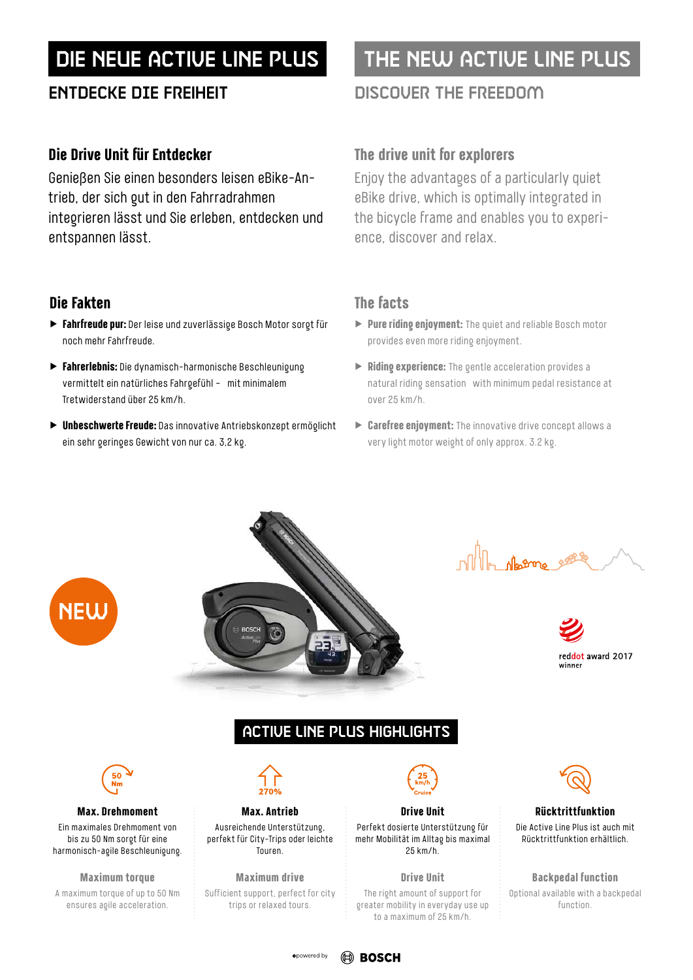## **Die Drive Unit für Entdecker**

Genießen Sie einen besonders leisen eBike-Antrieb, der sich gut in den Fahrradrahmen integrieren lässt und Sie erleben, entdecken und entspannen lässt.

## **Die Fakten**

- ▶ **Fahrfreude pur:** Der leise und zuverlässige Bosch Motor sorgt für noch mehr Fahrfreude.
- ▶ **Fahrerlebnis:** Die dynamisch-harmonische Beschleunigung vermittelt ein natürliches Fahrgefühl – mit minimalem Tretwiderstand über 25 km/h.
- ▶ **Unbeschwerte Freude:** Das innovative Antriebskonzept ermöglicht ein sehr geringes Gewicht von nur ca. 3,2 kg.

# DIE NEUE ACTIVE LINE PLUS THE NEW ACTIVE LINE PLUS

## Entdecke die FREIHEIT DISCOVER THE FREEDOM

## **The drive unit for explorers**

Enjoy the advantages of a particularly quiet eBike drive, which is optimally integrated in the bicycle frame and enables you to experience, discover and relax.

## **The facts**

- ▶ **Pure riding enjoyment:** The quiet and reliable Bosch motor provides even more riding enjoyment.
- ▶ **Riding experience:** The gentle acceleration provides a natural riding sensation ‒ with minimum pedal resistance at over 25 km/h.
- ▶ **Carefree enjoyment:** The innovative drive concept allows a very light motor weight of only approx. 3.2 kg.







## ACTIVE LINE PLUS HIGHLIGHTS



**Max. Drehmoment** Ein maximales Drehmoment von bis zu 50 Nm sorgt für eine harmonisch-agile Beschleunigung.

**Maximum torque**

A maximum torque of up to 50 Nm ensures agile acceleration.



**Max. Antrieb** Ausreichende Unterstützung, perfekt für City-Trips oder leichte Touren.

**Maximum drive** Sufficient support, perfect for city trips or relaxed tours.



**Drive Unit** Perfekt dosierte Unterstützung für mehr Mobilität im Alltag bis maximal 25 km/h.

**Drive Unit**

The right amount of support for greater mobility in everyday use up to a maximum of 25 km/h.



### **Rücktrittfunktion** Die Active Line Plus ist auch mit Rücktrittfunktion erhältlich.

**Backpedal function** Optional available with a backpedal function.

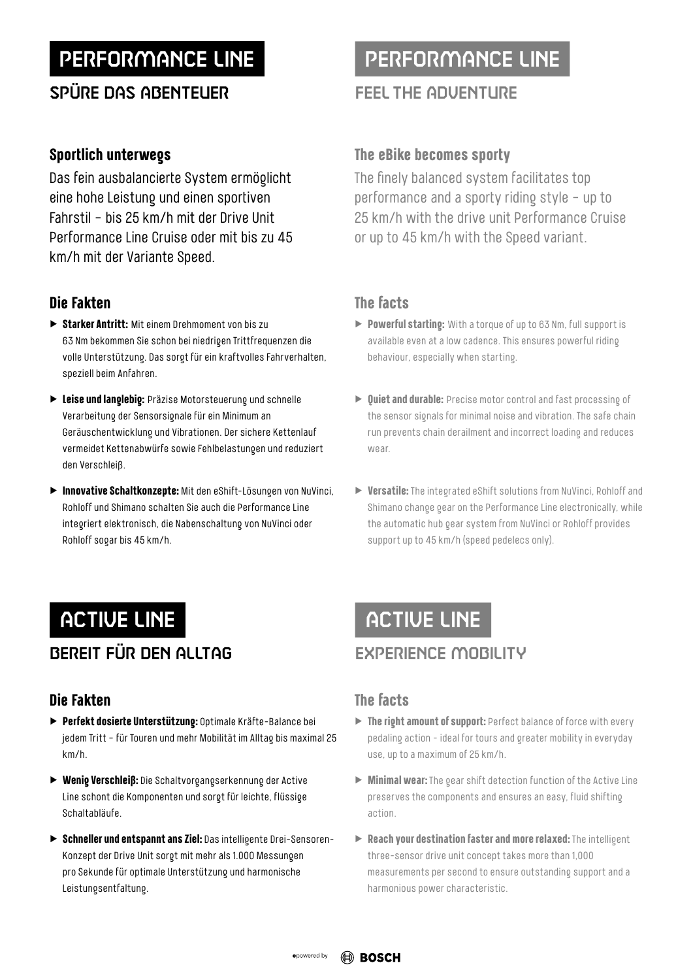# PERFORMANCE LINE

# SPÜRE DAS ABENTEUER

## **Sportlich unterwegs**

Das fein ausbalancierte System ermöglicht eine hohe Leistung und einen sportiven Fahrstil – bis 25 km/h mit der Drive Unit Performance Line Cruise oder mit bis zu 45 km/h mit der Variante Speed.

## **Die Fakten**

- ▶ **Starker Antritt:** Mit einem Drehmoment von bis zu 63 Nm bekommen Sie schon bei niedrigen Trittfrequenzen die volle Unterstützung. Das sorgt für ein kraftvolles Fahrverhalten, speziell beim Anfahren.
- ▶ **Leise und langlebig:** Präzise Motorsteuerung und schnelle Verarbeitung der Sensorsignale für ein Minimum an Geräuschentwicklung und Vibrationen. Der sichere Kettenlauf vermeidet Kettenabwürfe sowie Fehlbelastungen und reduziert den Verschleiß.
- ▶ **Innovative Schaltkonzepte:** Mit den eShift-Lösungen von NuVinci, Rohloff und Shimano schalten Sie auch die Performance Line integriert elektronisch, die Nabenschaltung von NuVinci oder Rohloff sogar bis 45 km/h.

# PERFORMANCE LINE

## FEEL THE ADVENTURE

## **The eBike becomes sporty**

The finely balanced system facilitates top performance and a sporty riding style – up to 25 km/h with the drive unit Performance Cruise or up to 45 km/h with the Speed variant.

## **The facts**

- ▶ **Powerful starting:** With a torque of up to 63 Nm, full support is available even at a low cadence. This ensures powerful riding behaviour, especially when starting.
- ▶ **Quiet and durable:** Precise motor control and fast processing of the sensor signals for minimal noise and vibration. The safe chain run prevents chain derailment and incorrect loading and reduces wear.
- ▶ **Versatile:** The integrated eShift solutions from NuVinci, Rohloff and Shimano change gear on the Performance Line electronically, while the automatic hub gear system from NuVinci or Rohloff provides support up to 45 km/h (speed pedelecs only).

# ACTIVE LINE ACTIVE LINE

# BEREIT FÜR DEN ALLTAG

## **Die Fakten**

- ▶ **Perfekt dosierte Unterstützung:** Optimale Kräfte-Balance bei jedem Tritt – für Touren und mehr Mobilität im Alltag bis maximal 25 km/h.
- ▶ **Wenig Verschleiß:** Die Schaltvorgangserkennung der Active Line schont die Komponenten und sorgt für leichte, flüssige Schaltabläufe.
- ▶ **Schneller und entspannt ans Ziel:** Das intelligente Drei-Sensoren-Konzept der Drive Unit sorgt mit mehr als 1.000 Messungen pro Sekunde für optimale Unterstützung und harmonische Leistungsentfaltung.

# EXPERIENCE MOBILITY

- ▶ **The right amount of support:** Perfect balance of force with every pedaling action - ideal for tours and greater mobility in everyday use, up to a maximum of 25 km/h.
- ▶ **Minimal wear:** The gear shift detection function of the Active Line preserves the components and ensures an easy, fluid shifting action.
- ▶ **Reach your destination faster and more relaxed:** The intelligent three-sensor drive unit concept takes more than 1,000 measurements per second to ensure outstanding support and a harmonious power characteristic.

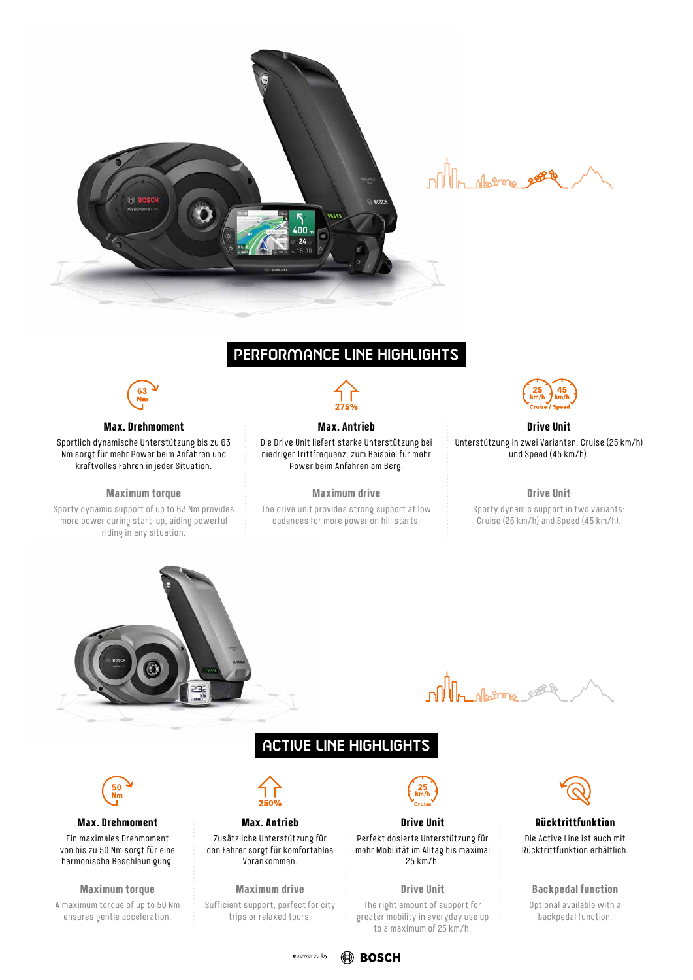

In derme ene

## PERFORMANCE LINE HIGHLIGHTS



### **Max. Drehmoment**

Sportlich dynamische Unterstützung bis zu 63 Nm sorgt für mehr Power beim Anfahren und kraftvolles Fahren in jeder Situation.

### **Maximum torque**

Sporty dynamic support of up to 63 Nm provides more power during start-up, aiding powerful riding in any situation.



## **Max. Antrieb**

Die Drive Unit liefert starke Unterstützung bei niedriger Trittfrequenz, zum Beispiel für mehr Power beim Anfahren am Berg.

**Maximum drive**

The drive unit provides strong support at low cadences for more power on hill starts.



### **Drive Unit**

Unterstützung in zwei Varianten: Cruise (25 km/h) und Speed (45 km/h).

### **Drive Unit**

Sporty dynamic support in two variants: Cruise (25 km/h) and Speed (45 km/h).



olle deterne s

## ACTIVE LINE HIGHLIGHTS



### **Max. Drehmoment**

Ein maximales Drehmoment von bis zu 50 Nm sorgt für eine harmonische Beschleunigung.

**Maximum torque** A maximum torque of up to 50 Nm ensures gentle acceleration.



## **Max. Antrieb**

Zusätzliche Unterstützung für den Fahrer sorgt für komfortables Vorankommen.

**Maximum drive** Sufficient support, perfect for city trips or relaxed tours.



### **Drive Unit**

Perfekt dosierte Unterstützung für mehr Mobilität im Alltag bis maximal 25 km/h.

### **Drive Unit**

The right amount of support for greater mobility in everyday use up to a maximum of 25 km/h.



### **Rücktrittfunktion**

Die Active Line ist auch mit Rücktrittfunktion erhältlich.

### **Backpedal function**

Optional available with a backpedal function.

### epowered by **ED BOSCH**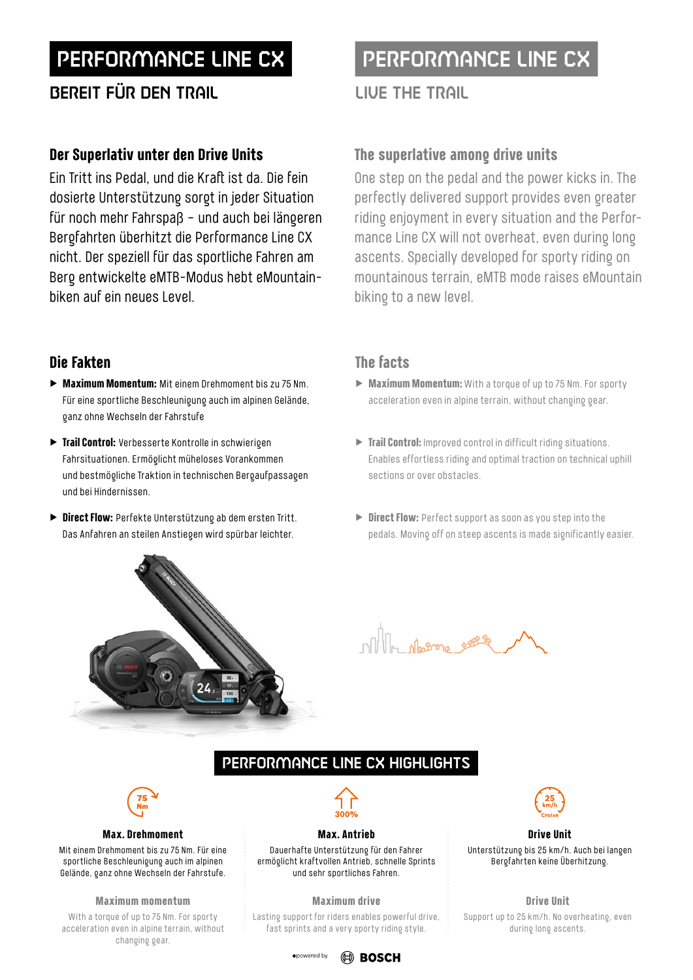# PERFORMANCE LINE CX PERFORMANCE LINE CX

# BEREIT FÜR DEN TRAIL LIVE THE TRAIL

## **Der Superlativ unter den Drive Units**

Ein Tritt ins Pedal, und die Kraft ist da. Die fein dosierte Unterstützung sorgt in jeder Situation für noch mehr Fahrspaß – und auch bei längeren Bergfahrten überhitzt die Performance Line CX nicht. Der speziell für das sportliche Fahren am Berg entwickelte eMTB-Modus hebt eMountainbiken auf ein neues Level.

## **Die Fakten**

- ▶ **Maximum Momentum:** Mit einem Drehmoment bis zu 75 Nm. Für eine sportliche Beschleunigung auch im alpinen Gelände, ganz ohne Wechseln der Fahrstufe
- ▶ **Trail Control:** Verbesserte Kontrolle in schwierigen Fahrsituationen. Ermöglicht müheloses Vorankommen und bestmögliche Traktion in technischen Bergaufpassagen und bei Hindernissen.
- ▶ **Direct Flow:** Perfekte Unterstützung ab dem ersten Tritt. Das Anfahren an steilen Anstiegen wird spürbar leichter.

## **The superlative among drive units**

One step on the pedal and the power kicks in. The perfectly delivered support provides even greater riding enjoyment in every situation and the Performance Line CX will not overheat, even during long ascents. Specially developed for sporty riding on mountainous terrain, eMTB mode raises eMountain biking to a new level.

## **The facts**

- ▶ **Maximum Momentum:** With a torque of up to 75 Nm. For sporty acceleration even in alpine terrain, without changing gear.
- ▶ **Trail Control:** Improved control in difficult riding situations. Enables effortless riding and optimal traction on technical uphill sections or over obstacles.
- ▶ **Direct Flow:** Perfect support as soon as you step into the pedals. Moving off on steep ascents is made significantly easier.



 $\mathbb{R}^n$ 

## PERFORMANCE LINE CX HIGHLIGHTS



### **Max. Drehmoment**

Mit einem Drehmoment bis zu 75 Nm. Für eine sportliche Beschleunigung auch im alpinen Gelände, ganz ohne Wechseln der Fahrstufe.

### **Maximum momentum**

With a torque of up to 75 Nm. For sporty acceleration even in alpine terrain, without changing gear.



## **Max. Antrieb**

Dauerhafte Unterstützung für den Fahrer ermöglicht kraftvollen Antrieb, schnelle Sprints und sehr sportliches Fahren.

### **Maximum drive**

Lasting support for riders enables powerful drive, fast sprints and a very sporty riding style.



### **Drive Unit**

Unterstützung bis 25 km/h. Auch bei langen Bergfahrten keine Überhitzung.

### **Drive Unit**

Support up to 25 km/h. No overheating, even during long ascents.

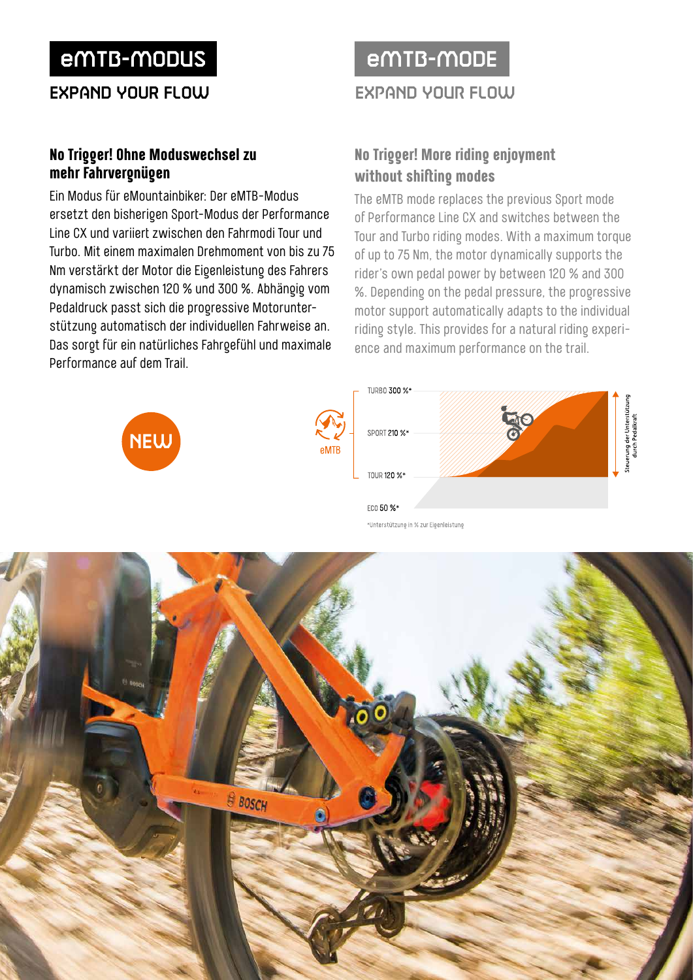# eMTB-MODUS eMTB-MODE

ExpAnd Your FLOW EXPAND YOUR FLOW

## **No Trigger! Ohne Moduswechsel zu mehr Fahrvergnügen**

Ein Modus für eMountainbiker: Der eMTB-Modus ersetzt den bisherigen Sport-Modus der Performance Line CX und variiert zwischen den Fahrmodi Tour und Turbo. Mit einem maximalen Drehmoment von bis zu 75 Nm verstärkt der Motor die Eigenleistung des Fahrers dynamisch zwischen 120 % und 300 %. Abhängig vom Pedaldruck passt sich die progressive Motorunterstützung automatisch der individuellen Fahrweise an. Das sorgt für ein natürliches Fahrgefühl und maximale Performance auf dem Trail.

## **No Trigger! More riding enjoyment without shifting modes**

The eMTB mode replaces the previous Sport mode of Performance Line CX and switches between the Tour and Turbo riding modes. With a maximum torque of up to 75 Nm, the motor dynamically supports the rider's own pedal power by between 120 % and 300 %. Depending on the pedal pressure, the progressive motor support automatically adapts to the individual riding style. This provides for a natural riding experience and maximum performance on the trail.



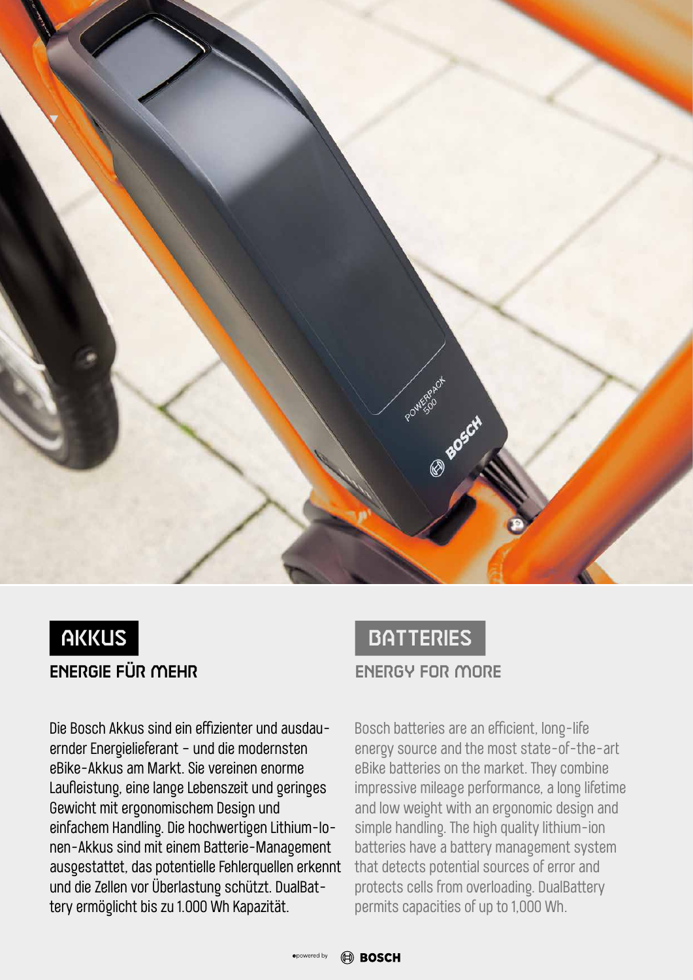



Die Bosch Akkus sind ein effizienter und ausdauernder Energielieferant – und die modernsten eBike-Akkus am Markt. Sie vereinen enorme Laufleistung, eine lange Lebenszeit und geringes Gewicht mit ergonomischem Design und einfachem Handling. Die hochwertigen Lithium-Ionen-Akkus sind mit einem Batterie-Management ausgestattet, das potentielle Fehlerquellen erkennt und die Zellen vor Überlastung schützt. DualBattery ermöglicht bis zu 1.000 Wh Kapazität.



Bosch batteries are an efficient, long-life energy source and the most state-of-the-art eBike batteries on the market. They combine impressive mileage performance, a long lifetime and low weight with an ergonomic design and simple handling. The high quality lithium-ion batteries have a battery management system that detects potential sources of error and protects cells from overloading. DualBattery permits capacities of up to 1,000 Wh.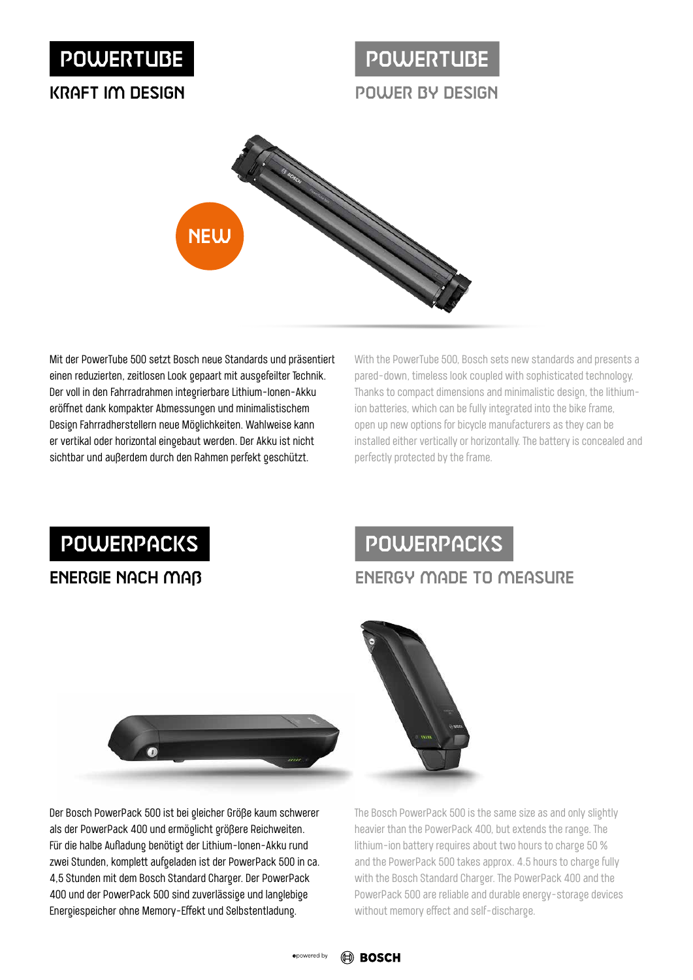# POWERTUBE

## KRAFT IM DESIGN

# POWER BY DESIGN **POWERTUBE**



Mit der PowerTube 500 setzt Bosch neue Standards und präsentiert einen reduzierten, zeitlosen Look gepaart mit ausgefeilter Technik. Der voll in den Fahrradrahmen integrierbare Lithium-Ionen-Akku eröffnet dank kompakter Abmessungen und minimalistischem Design Fahrradherstellern neue Möglichkeiten. Wahlweise kann er vertikal oder horizontal eingebaut werden. Der Akku ist nicht sichtbar und außerdem durch den Rahmen perfekt geschützt.

With the PowerTube 500, Bosch sets new standards and presents a pared-down, timeless look coupled with sophisticated technology. Thanks to compact dimensions and minimalistic design, the lithiumion batteries, which can be fully integrated into the bike frame, open up new options for bicycle manufacturers as they can be installed either vertically or horizontally. The battery is concealed and perfectly protected by the frame.

# **POWERPACKS**

# ENERGIE NACH MAß

# POWERPACKS

# ENERGY MADE TO MEASURE



Der Bosch PowerPack 500 ist bei gleicher Größe kaum schwerer als der PowerPack 400 und ermöglicht größere Reichweiten. Für die halbe Aufladung benötigt der Lithium-Ionen-Akku rund zwei Stunden, komplett aufgeladen ist der PowerPack 500 in ca. 4,5 Stunden mit dem Bosch Standard Charger. Der PowerPack 400 und der PowerPack 500 sind zuverlässige und langlebige Energiespeicher ohne Memory-Effekt und Selbstentladung.



The Bosch PowerPack 500 is the same size as and only slightly heavier than the PowerPack 400, but extends the range. The lithium-ion battery requires about two hours to charge 50 % and the PowerPack 500 takes approx. 4.5 hours to charge fully with the Bosch Standard Charger. The PowerPack 400 and the PowerPack 500 are reliable and durable energy-storage devices without memory effect and self-discharge.

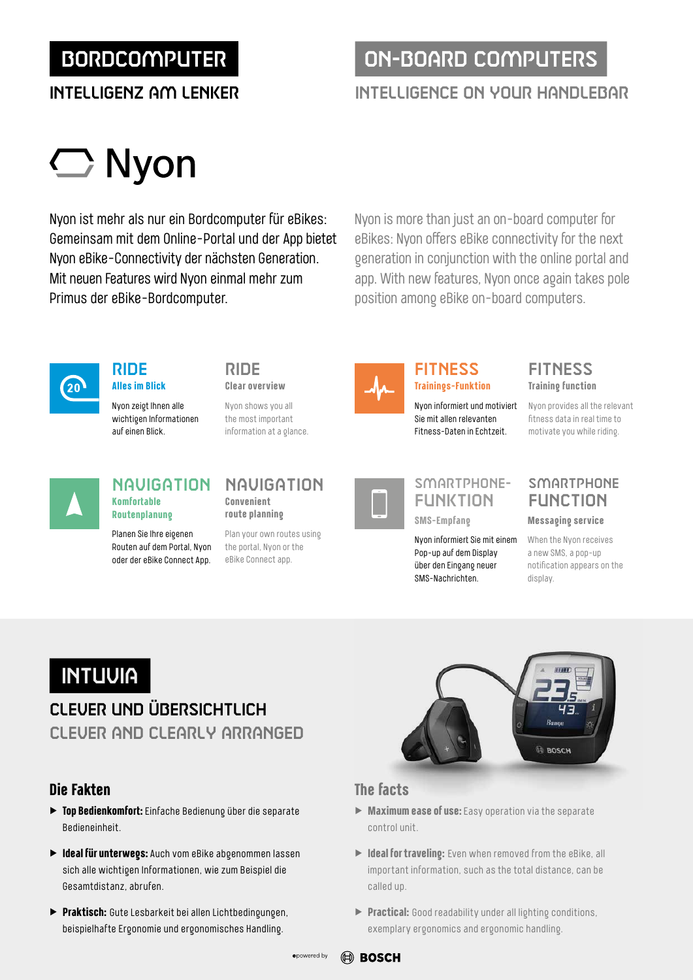# BORDCOMPUTER ON-BOARD COMPUTERS

# INTELLIGENZ AM LENKER INTELLIGENCE ON YOUR HANDLEBAR

# $\bigcirc$  Nyon

Nyon ist mehr als nur ein Bordcomputer für eBikes: Gemeinsam mit dem Online-Portal und der App bietet Nyon eBike-Connectivity der nächsten Generation. Mit neuen Features wird Nyon einmal mehr zum Primus der eBike-Bordcomputer.

Nyon is more than just an on-board computer for eBikes: Nyon offers eBike connectivity for the next generation in conjunction with the online portal and app. With new features, Nyon once again takes pole position among eBike on-board computers.



## RIDE **Alles im Blick**

Nyon zeigt Ihnen alle wichtigen Informationen auf einen Blick.

# RIDE

**Clear overview**

Nyon shows you all the most important information at a glance.



## **Trainings-Funktion**

Nyon informiert und motiviert Sie mit allen relevanten Fitness-Daten in Echtzeit.



Nyon informiert Sie mit einem Pop-up auf dem Display über den Eingang neuer SMS-Nachrichten.

## **Training function** FITNESS FITNESS

Nyon provides all the relevant fitness data in real time to motivate you while riding.

# **Komfortable Routenplanung**

Planen Sie Ihre eigenen Routen auf dem Portal, Nyon oder der eBike Connect App.

## **Convenient route planning** NAVIGATION NAVIGATION

Plan your own routes using the portal, Nyon or the eBike Connect app.



## **SMARTPHONE** FUNCTION

**Messaging service**

When the Nyon receives a new SMS, a pop-up notification appears on the display.

# **INTUUIA**

## CLEVER UND ÜBERSICHTLICH CLEVER AND CLEARLY ARRANGED

## **Die Fakten**

- ▶ **Top Bedienkomfort:** Einfache Bedienung über die separate Bedieneinheit.
- ▶ **Ideal für unterwegs:** Auch vom eBike abgenommen lassen sich alle wichtigen Informationen, wie zum Beispiel die Gesamtdistanz, abrufen.
- ▶ **Praktisch:** Gute Lesbarkeit bei allen Lichtbedingungen, beispielhafte Ergonomie und ergonomisches Handling.



- ▶ **Maximum ease of use:** Easy operation via the separate control unit.
- ▶ **Ideal for traveling:** Even when removed from the eBike, all important information, such as the total distance, can be called up.
- ▶ **Practical:** Good readability under all lighting conditions, exemplary ergonomics and ergonomic handling.

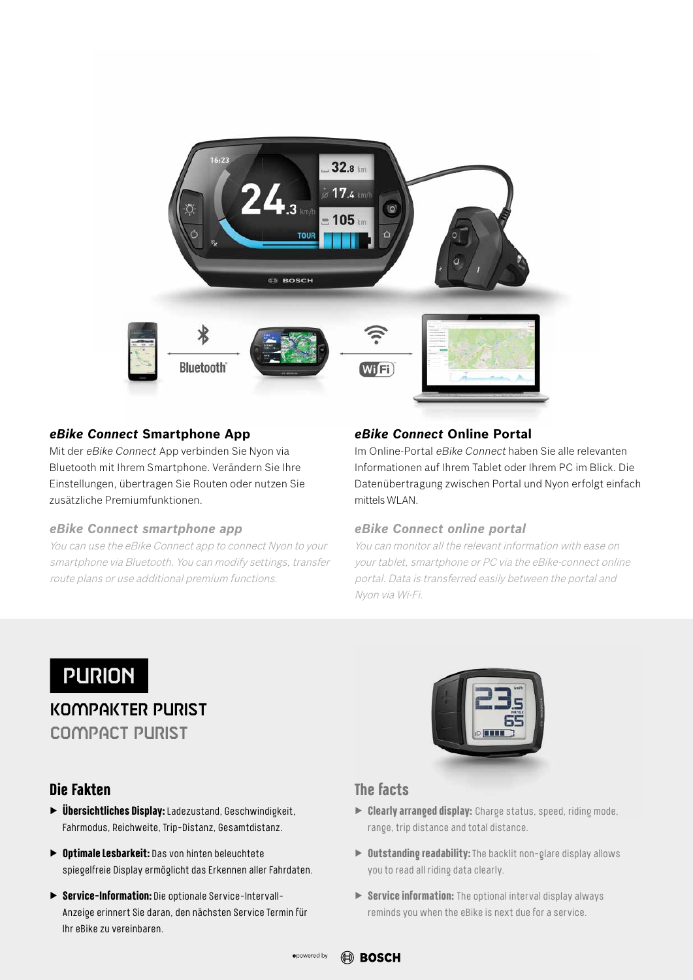

## *eBike Connect* **Smartphone App**

Mit der eBike Connect App verbinden Sie Nyon via Bluetooth mit Ihrem Smartphone. Verändern Sie Ihre Einstellungen, übertragen Sie Routen oder nutzen Sie zusätzliche Premiumfunktionen.

## *eBike Connect smartphone app*

You can use the eBike Connect app to connect Nyon to your smartphone via Bluetooth. You can modify settings, transfer route plans or use additional premium functions.

## *eBike Connect* **Online Portal**

Im Online-Portal eBike Connect haben Sie alle relevanten Informationen auf Ihrem Tablet oder Ihrem PC im Blick. Die Datenübertragung zwischen Portal und Nyon erfolgt einfach mittels WLAN.

## *eBike Connect online portal*

You can monitor all the relevant information with ease on your tablet, smartphone or PC via the eBike-connect online portal. Data is transferred easily between the portal and Nyon via Wi-Fi.

# PURION

KOMPAKTER PURIST COMPACT PURIST

## **Die Fakten**

- ▶ **Übersichtliches Display:** Ladezustand, Geschwindigkeit, Fahrmodus, Reichweite, Trip-Distanz, Gesamtdistanz.
- ▶ **Optimale Lesbarkeit:** Das von hinten beleuchtete spiegelfreie Display ermöglicht das Erkennen aller Fahrdaten.
- ▶ **Service-Information:** Die optionale Service-Intervall-Anzeige erinnert Sie daran, den nächsten Service Termin für Ihr eBike zu vereinbaren.



- ▶ **Clearly arranged display:** Charge status, speed, riding mode, range, trip distance and total distance.
- ▶ **Outstanding readability:** The backlit non-glare display allows you to read all riding data clearly.
- ▶ **Service information:** The optional interval display always reminds you when the eBike is next due for a service.

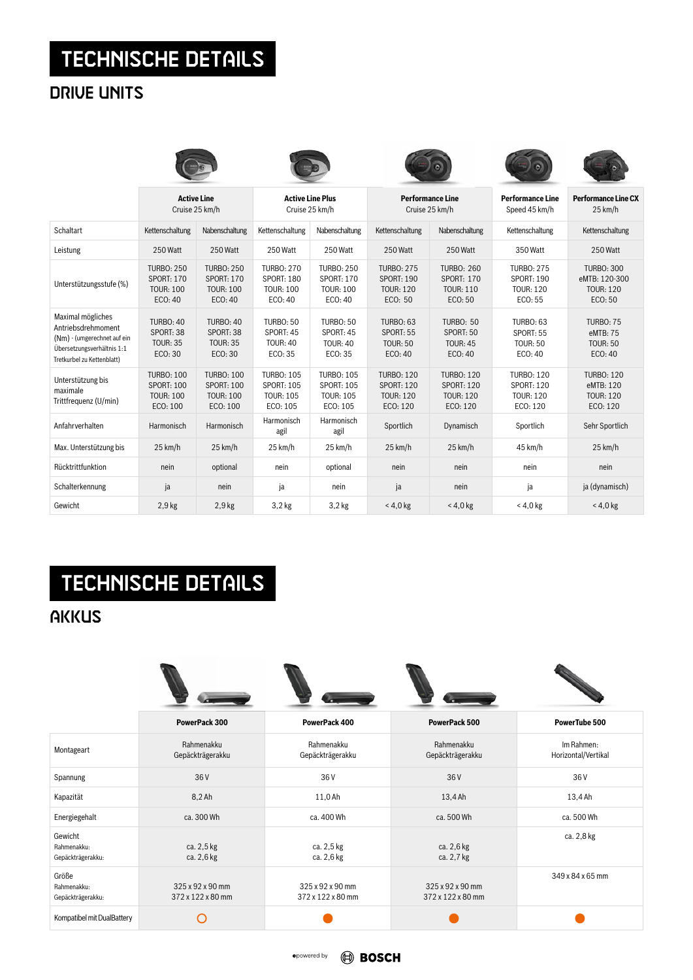# TECHNISCHE DETAILS

# DRIVE UNITS

|                                                                                                                                    | <b>Active Line</b><br>Cruise 25 km/h                                   |                                                                        | <b>Active Line Plus</b><br>Cruise 25 km/h                              |                                                                        | <b>Performance Line</b><br>Cruise 25 km/h                              |                                                                        | <b>Performance Line</b><br>Speed 45 km/h                               | <b>Performance Line CX</b><br>25 km/h                             |
|------------------------------------------------------------------------------------------------------------------------------------|------------------------------------------------------------------------|------------------------------------------------------------------------|------------------------------------------------------------------------|------------------------------------------------------------------------|------------------------------------------------------------------------|------------------------------------------------------------------------|------------------------------------------------------------------------|-------------------------------------------------------------------|
| Schaltart                                                                                                                          | Kettenschaltung                                                        | Nabenschaltung                                                         | Kettenschaltung                                                        | Nabenschaltung                                                         | Kettenschaltung                                                        | Nabenschaltung                                                         | Kettenschaltung                                                        | Kettenschaltung                                                   |
| Leistung                                                                                                                           | 250 Watt                                                               | 250 Watt                                                               | 250 Watt                                                               | 250 Watt                                                               | 250 Watt                                                               | 250 Watt                                                               | 350 Watt                                                               | 250 Watt                                                          |
| Unterstützungsstufe (%)                                                                                                            | <b>TURBO: 250</b><br><b>SPORT: 170</b><br><b>TOUR: 100</b><br>ECO: 40  | <b>TURBO: 250</b><br><b>SPORT: 170</b><br><b>TOUR: 100</b><br>ECO: 40  | <b>TURBO: 270</b><br><b>SPORT: 180</b><br><b>TOUR: 100</b><br>ECO: 40  | <b>TURBO: 250</b><br><b>SPORT: 170</b><br><b>TOUR: 100</b><br>ECO: 40  | <b>TURBO: 275</b><br><b>SPORT: 190</b><br><b>TOUR: 120</b><br>ECO: 50  | <b>TURBO: 260</b><br><b>SPORT: 170</b><br><b>TOUR: 110</b><br>ECO: 50  | <b>TURBO: 275</b><br><b>SPORT: 190</b><br><b>TOUR: 120</b><br>ECO: 55  | <b>TURBO: 300</b><br>eMTB: 120-300<br><b>TOUR: 120</b><br>ECO: 50 |
| Maximal mögliches<br>Antriebsdrehmoment<br>(Nm) - (umgerechnet auf ein<br>Übersetzungsverhältnis 1:1<br>Tretkurbel zu Kettenblatt) | <b>TURBO: 40</b><br>SPORT: 38<br><b>TOUR: 35</b><br>ECO: 30            | <b>TURBO: 40</b><br>SPORT: 38<br><b>TOUR: 35</b><br>ECO: 30            | <b>TURBO: 50</b><br>SPORT: 45<br><b>TOUR: 40</b><br>ECO: 35            | <b>TURBO: 50</b><br>SPORT: 45<br><b>TOUR: 40</b><br>ECO: 35            | <b>TURBO: 63</b><br>SPORT: 55<br><b>TOUR: 50</b><br>ECO: 40            | <b>TURBO: 50</b><br>SPORT: 50<br><b>TOUR: 45</b><br>ECO: 40            | <b>TURBO: 63</b><br>SPORT: 55<br><b>TOUR: 50</b><br>ECO: 40            | <b>TURBO: 75</b><br>eMTB: 75<br><b>TOUR: 50</b><br>ECO: 40        |
| Unterstützung bis<br>maximale<br>Trittfrequenz (U/min)                                                                             | <b>TURBO: 100</b><br><b>SPORT: 100</b><br><b>TOUR: 100</b><br>ECO: 100 | <b>TURBO: 100</b><br><b>SPORT: 100</b><br><b>TOUR: 100</b><br>ECO: 100 | <b>TURBO: 105</b><br><b>SPORT: 105</b><br><b>TOUR: 105</b><br>ECO: 105 | <b>TURBO: 105</b><br><b>SPORT: 105</b><br><b>TOUR: 105</b><br>ECO: 105 | <b>TURBO: 120</b><br><b>SPORT: 120</b><br><b>TOUR: 120</b><br>ECO: 120 | <b>TURBO: 120</b><br><b>SPORT: 120</b><br><b>TOUR: 120</b><br>ECO: 120 | <b>TURBO: 120</b><br><b>SPORT: 120</b><br><b>TOUR: 120</b><br>ECO: 120 | <b>TURBO: 120</b><br>eMTB: 120<br><b>TOUR: 120</b><br>ECO: 120    |
| Anfahrverhalten                                                                                                                    | Harmonisch                                                             | Harmonisch                                                             | Harmonisch<br>agil                                                     | Harmonisch<br>agil                                                     | Sportlich                                                              | Dynamisch                                                              | Sportlich                                                              | Sehr Sportlich                                                    |
| Max. Unterstützung bis                                                                                                             | 25 km/h                                                                | 25 km/h                                                                | 25 km/h                                                                | 25 km/h                                                                | 25 km/h                                                                | 25 km/h                                                                | 45 km/h                                                                | 25 km/h                                                           |
| Rücktrittfunktion                                                                                                                  | nein                                                                   | optional                                                               | nein                                                                   | optional                                                               | nein                                                                   | nein                                                                   | nein                                                                   | nein                                                              |
| Schalterkennung                                                                                                                    | ja                                                                     | nein                                                                   | ja                                                                     | nein                                                                   | ja                                                                     | nein                                                                   | ja                                                                     | ja (dynamisch)                                                    |
| Gewicht                                                                                                                            | $2,9$ kg                                                               | $2,9$ kg                                                               | 3.2 <sub>kg</sub>                                                      | $3,2$ kg                                                               | $< 4.0$ kg                                                             | $< 4.0$ kg                                                             | $< 4.0$ kg                                                             | $<$ 4,0 kg                                                        |

# TECHNISCHE DETAILS

# **AKKUS**

|                                             | PowerPack 300                         | PowerPack 400                         | PowerPack 500                         | PowerTube 500                     |  |
|---------------------------------------------|---------------------------------------|---------------------------------------|---------------------------------------|-----------------------------------|--|
| Montageart                                  | Rahmenakku<br>Gepäckträgerakku        | Rahmenakku<br>Gepäckträgerakku        | Rahmenakku<br>Gepäckträgerakku        | Im Rahmen:<br>Horizontal/Vertikal |  |
| Spannung                                    | 36 V                                  | 36 V                                  | 36 V                                  | 36 V                              |  |
| Kapazität                                   | $8,2$ Ah                              | 11,0 Ah                               | 13,4 Ah                               | 13,4 Ah                           |  |
| Energiegehalt                               | ca. 300 Wh                            | ca. 400 Wh                            | ca. 500 Wh                            | ca. 500 Wh                        |  |
| Gewicht<br>Rahmenakku:<br>Gepäckträgerakku: | ca. 2,5 kg<br>ca. 2,6 kg              | ca. 2,5 kg<br>ca. 2,6 kg              | ca. 2,6 kg<br>ca. 2,7 kg              | ca. 2,8 kg                        |  |
| Größe<br>Rahmenakku:<br>Gepäckträgerakku:   | 325 x 92 x 90 mm<br>372 x 122 x 80 mm | 325 x 92 x 90 mm<br>372 x 122 x 80 mm | 325 x 92 x 90 mm<br>372 x 122 x 80 mm | 349 x 84 x 65 mm                  |  |
| Kompatibel mit DualBattery                  |                                       |                                       |                                       |                                   |  |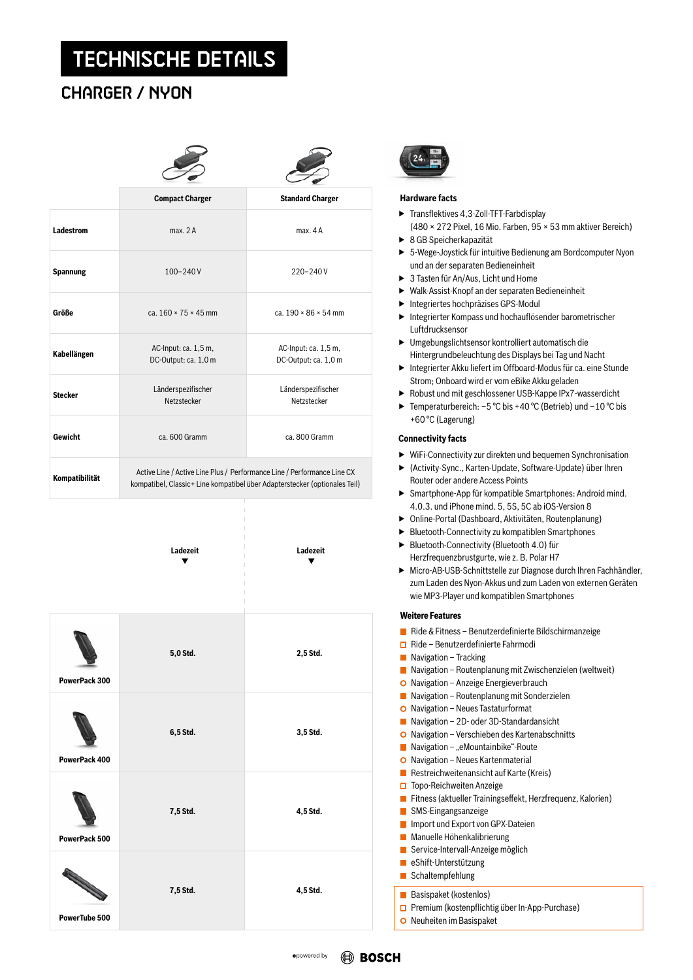# TECHNISCHE DETAILS

## CHARGER / NYON

|                  | <b>Compact Charger</b>                                                                                                                                | <b>Standard Charger</b>                      |  |  |  |
|------------------|-------------------------------------------------------------------------------------------------------------------------------------------------------|----------------------------------------------|--|--|--|
| <b>Ladestrom</b> | max. 2A                                                                                                                                               | max. 4A                                      |  |  |  |
| <b>Spannung</b>  | $100 - 240V$                                                                                                                                          | $220 - 240V$                                 |  |  |  |
| Größe            | ca. $160 \times 75 \times 45$ mm                                                                                                                      | ca. $190 \times 86 \times 54$ mm             |  |  |  |
| Kabellängen      | AC-Input: ca. 1,5 m,<br>DC-Output: ca. 1,0 m                                                                                                          | AC-Input: ca. 1,5 m,<br>DC-Output: ca. 1,0 m |  |  |  |
| <b>Stecker</b>   | Länderspezifischer<br>Netzstecker                                                                                                                     | Länderspezifischer<br>Netzstecker            |  |  |  |
| Gewicht          | ca. 600 Gramm                                                                                                                                         | ca. 800 Gramm                                |  |  |  |
| Kompatibilität   | Active Line / Active Line Plus / Performance Line / Performance Line CX<br>kompatibel, Classic+ Line kompatibel über Adapterstecker (optionales Teil) |                                              |  |  |  |



**Ladezeit Ladezeit**



### **Hardware facts**

- ▶ Transflektives 4,3-Zoll-TFT-Farbdisplay (480 × 272 Pixel, 16 Mio. Farben, 95 × 53 mm aktiver Bereich)
- ▶ 8 GB Speicherkapazität
- ▶ 5-Wege-Joystick für intuitive Bedienung am Bordcomputer Nyon und an der separaten Bedieneinheit
- ▶ 3 Tasten für An/Aus, Licht und Home
- ▶ Walk-Assist-Knopf an der separaten Bedieneinheit
- ▶ Integriertes hochpräzises GPS-Modul
- ▶ Integrierter Kompass und hochauflösender barometrischer Luftdrucksensor
- ▶ Umgebungslichtsensor kontrolliert automatisch die Hintergrundbeleuchtung des Displays bei Tag und Nacht
- ▶ Integrierter Akku liefert im Offboard-Modus für ca. eine Stunde Strom; Onboard wird er vom eBike Akku geladen
- ▶ Robust und mit geschlossener USB-Kappe IPx7-wasserdicht
- ▶ Temperaturbereich:  $-5$  °C bis +40 °C (Betrieb) und  $-10$  °C bis +60 °C (Lagerung)

## **Connectivity facts**

- ▶ WiFi-Connectivity zur direkten und bequemen Synchronisation
- ▶ (Activity-Sync., Karten-Update, Software-Update) über Ihren Router oder andere Access Points
- ▶ Smartphone-App für kompatible Smartphones: Android mind. 4.0.3. und iPhone mind. 5, 5S, 5C ab iOS-Version 8
- ▶ Online-Portal (Dashboard, Aktivitäten, Routenplanung)
- ▶ Bluetooth-Connectivity zu kompatiblen Smartphones
- ▶ Bluetooth-Connectivity (Bluetooth 4.0) für Herzfrequenzbrustgurte, wie z. B. Polar H7
- ▶ Micro-AB-USB-Schnittstelle zur Diagnose durch Ihren Fachhändler, zum Laden des Nyon-Akkus und zum Laden von externen Geräten wie MP3-Player und kompatiblen Smartphones

### **Weitere Features**

| ×.    | Ride & Fitness - Benutzerdefinierte Bildschirmanzeige         |
|-------|---------------------------------------------------------------|
|       | $\Box$ Ride – Benutzerdefinierte Fahrmodi                     |
| l a l | Navigation - Tracking                                         |
| L.    | Navigation – Routenplanung mit Zwischenzielen (weltweit)      |
|       | O Navigation - Anzeige Energieverbrauch                       |
| L.    | Navigation – Routenplanung mit Sonderzielen                   |
|       | O Navigation – Neues Tastaturformat                           |
| L.    | Navigation - 2D- oder 3D-Standardansicht                      |
|       | $\bullet$ Navigation – Verschieben des Kartenabschnitts       |
| l.    | Navigation – "eMountainbike"-Route                            |
|       | O Navigation - Neues Kartenmaterial                           |
|       | Restreichweitenansicht auf Karte (Kreis)                      |
|       | $\Box$ Topo-Reichweiten Anzeige                               |
|       | ■ Fitness (aktueller Trainingseffekt, Herzfrequenz, Kalorien) |
| l.    | SMS-Eingangsanzeige                                           |
|       | Import und Export von GPX-Dateien                             |
|       | ■ Manuelle Höhenkalibrierung                                  |
|       | Service-Intervall-Anzeige möglich                             |
|       | $\blacksquare$ eShift-Unterstützung                           |
|       | $\blacksquare$ Schaltempfehlung                               |
|       | <b>Basispaket (kostenlos)</b>                                 |
|       | $\Box$ Premium (kostenpflichtig über In-App-Purchase)         |
|       | O Neuheiten im Basispaket                                     |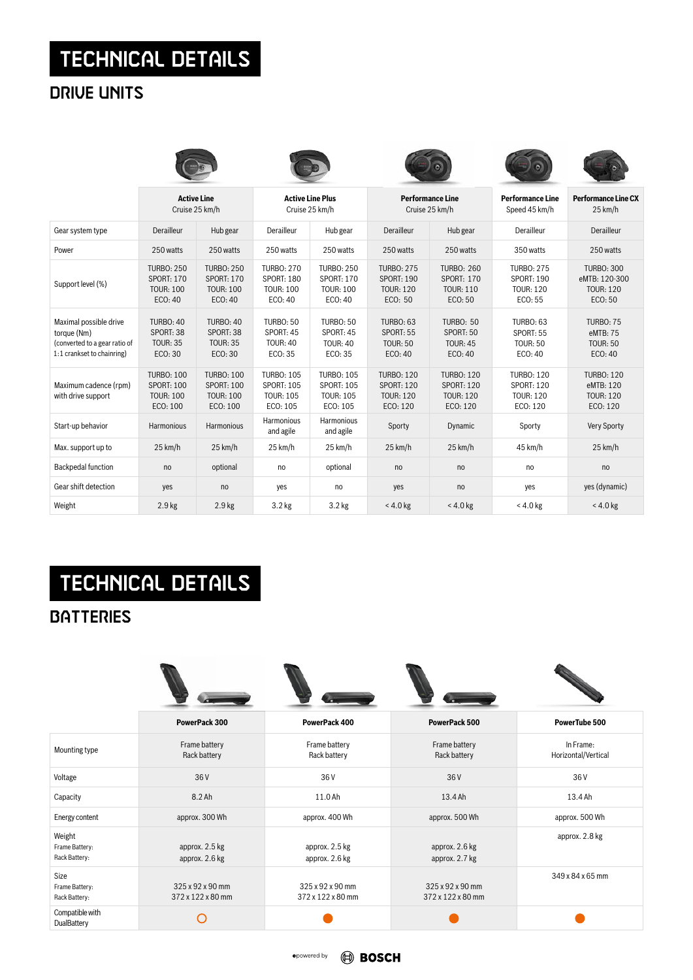# TECHNICAL DETAILS

# DRIVE UNITS

|                                                                                                      | <b>Active Line</b><br>Cruise 25 km/h                                   |                                                                        | <b>Active Line Plus</b><br>Cruise 25 km/h                              |                                                                        | <b>Performance Line</b><br>Cruise 25 km/h                              |                                                                        | <b>Performance Line</b><br>Speed 45 km/h                               | <b>Performance Line CX</b><br>25 km/h                             |
|------------------------------------------------------------------------------------------------------|------------------------------------------------------------------------|------------------------------------------------------------------------|------------------------------------------------------------------------|------------------------------------------------------------------------|------------------------------------------------------------------------|------------------------------------------------------------------------|------------------------------------------------------------------------|-------------------------------------------------------------------|
| Gear system type                                                                                     | Derailleur                                                             | Hub gear                                                               | Derailleur                                                             | Hub gear                                                               | Derailleur                                                             | Hub gear                                                               | Derailleur                                                             | Derailleur                                                        |
| Power                                                                                                | 250 watts                                                              | 250 watts                                                              | 250 watts                                                              | 250 watts                                                              | 250 watts                                                              | 250 watts                                                              | 350 watts                                                              | 250 watts                                                         |
| Support level (%)                                                                                    | <b>TURBO: 250</b><br><b>SPORT: 170</b><br><b>TOUR: 100</b><br>ECO: 40  | <b>TURBO: 250</b><br><b>SPORT: 170</b><br><b>TOUR: 100</b><br>ECO: 40  | <b>TURBO: 270</b><br><b>SPORT: 180</b><br><b>TOUR: 100</b><br>ECO: 40  | <b>TURBO: 250</b><br><b>SPORT: 170</b><br><b>TOUR: 100</b><br>ECO: 40  | <b>TURBO: 275</b><br><b>SPORT: 190</b><br><b>TOUR: 120</b><br>ECO: 50  | <b>TURBO: 260</b><br><b>SPORT: 170</b><br><b>TOUR: 110</b><br>ECO: 50  | <b>TURBO: 275</b><br><b>SPORT: 190</b><br><b>TOUR: 120</b><br>ECO: 55  | <b>TURBO: 300</b><br>eMTB: 120-300<br><b>TOUR: 120</b><br>ECO: 50 |
| Maximal possible drive<br>torque (Nm)<br>(converted to a gear ratio of<br>1:1 crankset to chainring) | <b>TURBO: 40</b><br>SPORT: 38<br><b>TOUR: 35</b><br>ECO: 30            | <b>TURBO: 40</b><br>SPORT: 38<br><b>TOUR: 35</b><br>ECO: 30            | <b>TURBO: 50</b><br>SPORT: 45<br><b>TOUR: 40</b><br>ECO: 35            | <b>TURBO: 50</b><br>SPORT: 45<br><b>TOUR: 40</b><br>ECO: 35            | <b>TURBO: 63</b><br>SPORT: 55<br><b>TOUR: 50</b><br>ECO: 40            | <b>TURBO: 50</b><br>SPORT: 50<br><b>TOUR: 45</b><br>ECO: 40            | <b>TURBO: 63</b><br>SPORT: 55<br><b>TOUR: 50</b><br>ECO: 40            | <b>TURBO: 75</b><br>eMTB: 75<br><b>TOUR: 50</b><br>ECO: 40        |
| Maximum cadence (rpm)<br>with drive support                                                          | <b>TURBO: 100</b><br><b>SPORT: 100</b><br><b>TOUR: 100</b><br>ECO: 100 | <b>TURBO: 100</b><br><b>SPORT: 100</b><br><b>TOUR: 100</b><br>ECO: 100 | <b>TURBO: 105</b><br><b>SPORT: 105</b><br><b>TOUR: 105</b><br>ECO: 105 | <b>TURBO: 105</b><br><b>SPORT: 105</b><br><b>TOUR: 105</b><br>ECO: 105 | <b>TURBO: 120</b><br><b>SPORT: 120</b><br><b>TOUR: 120</b><br>ECO: 120 | <b>TURBO: 120</b><br><b>SPORT: 120</b><br><b>TOUR: 120</b><br>ECO: 120 | <b>TURBO: 120</b><br><b>SPORT: 120</b><br><b>TOUR: 120</b><br>ECO: 120 | <b>TURBO: 120</b><br>eMTB: 120<br><b>TOUR: 120</b><br>ECO: 120    |
| Start-up behavior                                                                                    | Harmonious                                                             | Harmonious                                                             | Harmonious<br>and agile                                                | Harmonious<br>and agile                                                | Sporty                                                                 | Dynamic                                                                | Sporty                                                                 | <b>Very Sporty</b>                                                |
| Max. support up to                                                                                   | 25 km/h                                                                | 25 km/h                                                                | 25 km/h                                                                | 25 km/h                                                                | 25 km/h                                                                | 25 km/h                                                                | 45 km/h                                                                | 25 km/h                                                           |
| <b>Backpedal function</b>                                                                            | no                                                                     | optional                                                               | no                                                                     | optional                                                               | no                                                                     | n <sub>o</sub>                                                         | no                                                                     | no                                                                |
| Gear shift detection                                                                                 | yes                                                                    | no                                                                     | yes                                                                    | no                                                                     | yes                                                                    | no                                                                     | yes                                                                    | yes (dynamic)                                                     |
| Weight                                                                                               | 2.9 <sub>kg</sub>                                                      | 2.9 <sub>kg</sub>                                                      | 3.2 <sub>kg</sub>                                                      | 3.2 <sub>kg</sub>                                                      | $<$ 4.0 kg                                                             | $<$ 4.0 kg                                                             | $< 4.0$ kg                                                             | $<$ 4.0 kg                                                        |

# TECHNICAL DETAILS

**BATTERIES** 

|                                           | PowerPack 300                         | PowerPack 400                         | PowerPack 500                         | PowerTube 500                    |  |
|-------------------------------------------|---------------------------------------|---------------------------------------|---------------------------------------|----------------------------------|--|
| Mounting type                             | Frame battery<br>Rack battery         | Frame battery<br>Rack battery         | Frame battery<br>Rack battery         | In Frame:<br>Horizontal/Vertical |  |
| Voltage                                   | 36 V                                  | 36 V                                  | 36 <sub>V</sub>                       | 36 V                             |  |
| Capacity                                  | $8.2$ Ah                              | 11.0 Ah                               | 13.4 Ah                               | 13.4 Ah                          |  |
| Energy content                            | approx. 300 Wh                        | approx. 400 Wh                        | approx. 500 Wh                        | approx. 500 Wh                   |  |
| Weight<br>Frame Battery:<br>Rack Battery: | approx. 2.5 kg<br>approx. 2.6 kg      | approx. 2.5 kg<br>approx. 2.6 kg      | approx. 2.6 kg<br>approx. 2.7 kg      | approx. 2.8 kg                   |  |
| Size<br>Frame Battery:<br>Rack Battery:   | 325 x 92 x 90 mm<br>372 x 122 x 80 mm | 325 x 92 x 90 mm<br>372 x 122 x 80 mm | 325 x 92 x 90 mm<br>372 x 122 x 80 mm | 349 x 84 x 65 mm                 |  |
| Compatible with<br>DualBattery            |                                       |                                       |                                       |                                  |  |